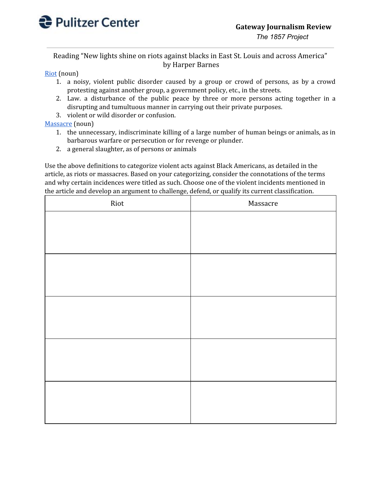

Reading "New lights shine on riots against blacks in East St. Louis and across America" by Harper Barnes

## [Riot](https://www.dictionary.com/browse/riot?s=t) (noun)

- 1. a noisy, violent public disorder caused by a group or crowd of persons, as by a crowd protesting against another group, a government policy, etc., in the streets.
- 2. Law. a disturbance of the public peace by three or more persons acting together in a disrupting and tumultuous manner in carrying out their private purposes.
- 3. violent or wild disorder or confusion.

## [Massacre](https://www.dictionary.com/browse/massacre#) (noun)

- 1. the unnecessary, indiscriminate killing of a large number of human beings or animals, as in barbarous warfare or persecution or for revenge or plunder.
- 2. a general slaughter, as of persons or animals

Use the above definitions to categorize violent acts against Black Americans, as detailed in the article, as riots or massacres. Based on your categorizing, consider the connotations of the terms and why certain incidences were titled as such. Choose one of the violent incidents mentioned in the article and develop an argument to challenge, defend, or qualify its current classification.

| Riot | Massacre |
|------|----------|
|      |          |
|      |          |
|      |          |
|      |          |
|      |          |
|      |          |
|      |          |
|      |          |
|      |          |
|      |          |
|      |          |
|      |          |
|      |          |
|      |          |
|      |          |